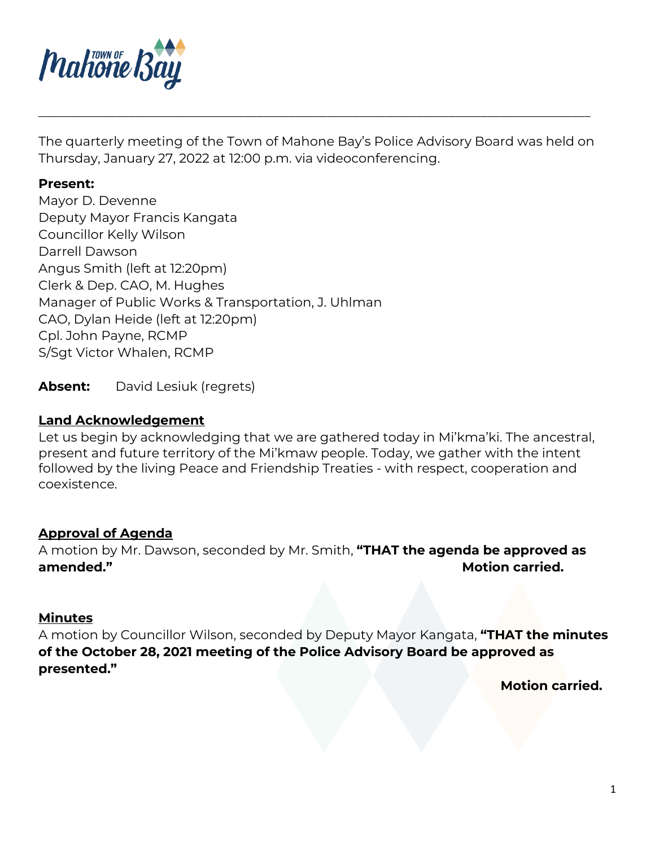

The quarterly meeting of the Town of Mahone Bay's Police Advisory Board was held on Thursday, January 27, 2022 at 12:00 p.m. via videoconferencing.

\_\_\_\_\_\_\_\_\_\_\_\_\_\_\_\_\_\_\_\_\_\_\_\_\_\_\_\_\_\_\_\_\_\_\_\_\_\_\_\_\_\_\_\_\_\_\_\_\_\_\_\_\_\_\_\_\_\_\_\_\_\_\_\_\_\_\_\_\_\_\_\_\_\_\_\_\_\_\_\_\_\_\_\_\_\_

#### **Present:**

Mayor D. Devenne Deputy Mayor Francis Kangata Councillor Kelly Wilson Darrell Dawson Angus Smith (left at 12:20pm) Clerk & Dep. CAO, M. Hughes Manager of Public Works & Transportation, J. Uhlman CAO, Dylan Heide (left at 12:20pm) Cpl. John Payne, RCMP S/Sgt Victor Whalen, RCMP

**Absent:** David Lesiuk (regrets)

### **Land Acknowledgement**

Let us begin by acknowledging that we are gathered today in Mi'kma'ki. The ancestral, present and future territory of the Mi'kmaw people. Today, we gather with the intent followed by the living Peace and Friendship Treaties - with respect, cooperation and coexistence.

### **Approval of Agenda**

A motion by Mr. Dawson, seconded by Mr. Smith, **"THAT the agenda be approved as amended." Motion carried. Motion carried.** 

### **Minutes**

A motion by Councillor Wilson, seconded by Deputy Mayor Kangata, **"THAT the minutes of the October 28, 2021 meeting of the Police Advisory Board be approved as presented."**

**Motion carried.**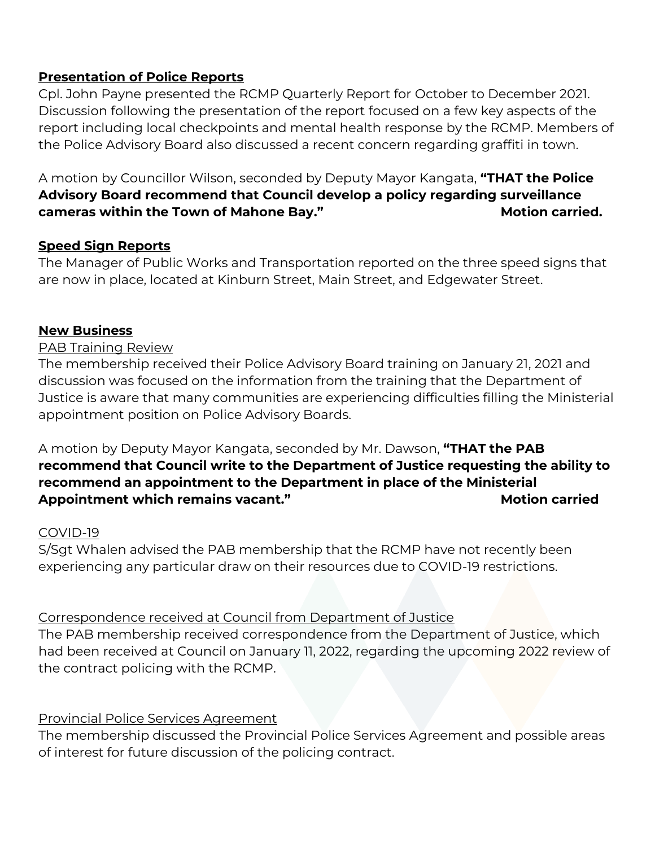# **Presentation of Police Reports**

Cpl. John Payne presented the RCMP Quarterly Report for October to December 2021. Discussion following the presentation of the report focused on a few key aspects of the report including local checkpoints and mental health response by the RCMP. Members of the Police Advisory Board also discussed a recent concern regarding graffiti in town.

A motion by Councillor Wilson, seconded by Deputy Mayor Kangata, **"THAT the Police Advisory Board recommend that Council develop a policy regarding surveillance cameras within the Town of Mahone Bay." Motion carried. Motion carried.** 

## **Speed Sign Reports**

The Manager of Public Works and Transportation reported on the three speed signs that are now in place, located at Kinburn Street, Main Street, and Edgewater Street.

### **New Business**

### PAB Training Review

The membership received their Police Advisory Board training on January 21, 2021 and discussion was focused on the information from the training that the Department of Justice is aware that many communities are experiencing difficulties filling the Ministerial appointment position on Police Advisory Boards.

A motion by Deputy Mayor Kangata, seconded by Mr. Dawson, **"THAT the PAB recommend that Council write to the Department of Justice requesting the ability to recommend an appointment to the Department in place of the Ministerial**  Appointment which remains vacant." **All and Motion carried** by Motion carried

### COVID-19

S/Sgt Whalen advised the PAB membership that the RCMP have not recently been experiencing any particular draw on their resources due to COVID-19 restrictions.

Correspondence received at Council from Department of Justice

The PAB membership received correspondence from the Department of Justice, which had been received at Council on January 11, 2022, regarding the upcoming 2022 review of the contract policing with the RCMP.

## Provincial Police Services Agreement

The membership discussed the Provincial Police Services Agreement and possible areas of interest for future discussion of the policing contract.